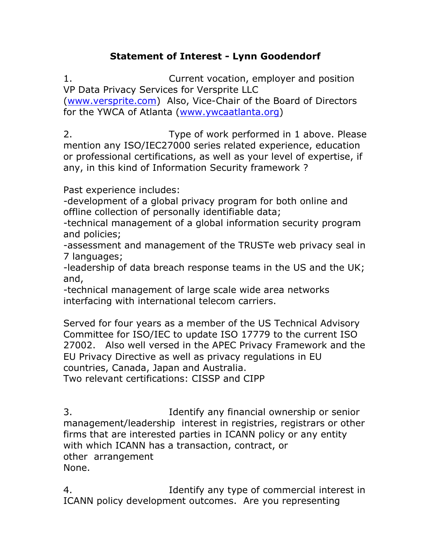## **Statement of Interest - Lynn Goodendorf**

1. Current vocation, employer and position VP Data Privacy Services for Versprite LLC [\(www.versprite.com\)](http://www.versprite.com/) Also, Vice-Chair of the Board of Directors for the YWCA of Atlanta [\(www.ywcaatlanta.org\)](http://www.ywcaatlanta.org/)

2. Type of work performed in 1 above. Please mention any ISO/IEC27000 series related experience, education or professional certifications, as well as your level of expertise, if any, in this kind of Information Security framework ?

Past experience includes:

-development of a global privacy program for both online and offline collection of personally identifiable data;

-technical management of a global information security program and policies;

-assessment and management of the TRUSTe web privacy seal in 7 languages;

-leadership of data breach response teams in the US and the UK; and,

-technical management of large scale wide area networks interfacing with international telecom carriers.

Served for four years as a member of the US Technical Advisory Committee for ISO/IEC to update ISO 17779 to the current ISO 27002. Also well versed in the APEC Privacy Framework and the EU Privacy Directive as well as privacy regulations in EU countries, Canada, Japan and Australia.

Two relevant certifications: CISSP and CIPP

3. Identify any financial ownership or senior management/leadership interest in registries, registrars or other firms that are interested parties in ICANN policy or any entity with which ICANN has a transaction, contract, or other arrangement None.

4. Identify any type of commercial interest in ICANN policy development outcomes. Are you representing